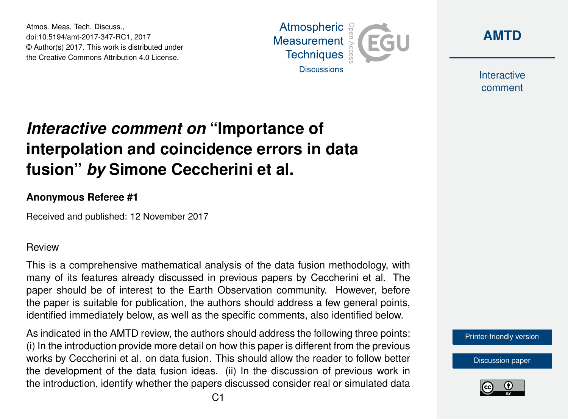Atmos. Meas. Tech. Discuss., doi:10.5194/amt-2017-347-RC1, 2017 © Author(s) 2017. This work is distributed under the Creative Commons Attribution 4.0 License.





Interactive comment

## *Interactive comment on* **"Importance of interpolation and coincidence errors in data fusion"** *by* **Simone Ceccherini et al.**

## **Anonymous Referee #1**

Received and published: 12 November 2017

## Review

This is a comprehensive mathematical analysis of the data fusion methodology, with many of its features already discussed in previous papers by Ceccherini et al. The paper should be of interest to the Earth Observation community. However, before the paper is suitable for publication, the authors should address a few general points, identified immediately below, as well as the specific comments, also identified below.

As indicated in the AMTD review, the authors should address the following three points: (i) In the introduction provide more detail on how this paper is different from the previous works by Ceccherini et al. on data fusion. This should allow the reader to follow better the development of the data fusion ideas. (ii) In the discussion of previous work in the introduction, identify whether the papers discussed consider real or simulated data

[Printer-friendly version](https://www.atmos-meas-tech-discuss.net/amt-2017-347/amt-2017-347-RC1-print.pdf)

[Discussion paper](https://www.atmos-meas-tech-discuss.net/amt-2017-347)

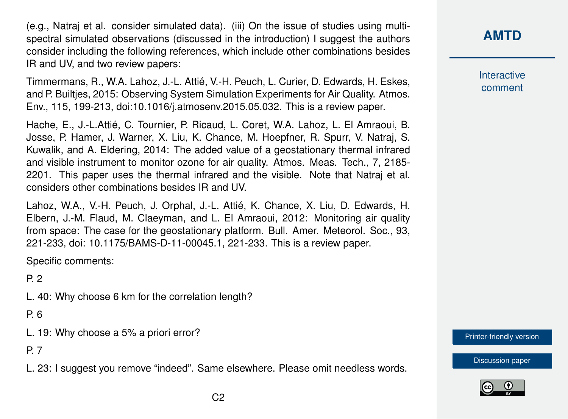(e.g., Natraj et al. consider simulated data). (iii) On the issue of studies using multispectral simulated observations (discussed in the introduction) I suggest the authors consider including the following references, which include other combinations besides IR and UV, and two review papers:

Timmermans, R., W.A. Lahoz, J.-L. Attié, V.-H. Peuch, L. Curier, D. Edwards, H. Eskes, and P. Builtjes, 2015: Observing System Simulation Experiments for Air Quality. Atmos. Env., 115, 199-213, doi:10.1016/j.atmosenv.2015.05.032. This is a review paper.

Hache, E., J.-L.Attié, C. Tournier, P. Ricaud, L. Coret, W.A. Lahoz, L. El Amraoui, B. Josse, P. Hamer, J. Warner, X. Liu, K. Chance, M. Hoepfner, R. Spurr, V. Natraj, S. Kuwalik, and A. Eldering, 2014: The added value of a geostationary thermal infrared and visible instrument to monitor ozone for air quality. Atmos. Meas. Tech., 7, 2185- 2201. This paper uses the thermal infrared and the visible. Note that Natraj et al. considers other combinations besides IR and UV.

Lahoz, W.A., V.-H. Peuch, J. Orphal, J.-L. Attié, K. Chance, X. Liu, D. Edwards, H. Elbern, J.-M. Flaud, M. Claeyman, and L. El Amraoui, 2012: Monitoring air quality from space: The case for the geostationary platform. Bull. Amer. Meteorol. Soc., 93, 221-233, doi: 10.1175/BAMS-D-11-00045.1, 221-233. This is a review paper.

Specific comments:

P. 2

L. 40: Why choose 6 km for the correlation length?

P. 6

L. 19: Why choose a 5% a priori error?

P. 7

L. 23: I suggest you remove "indeed". Same elsewhere. Please omit needless words.

**[AMTD](https://www.atmos-meas-tech-discuss.net/)**

**Interactive** comment

[Printer-friendly version](https://www.atmos-meas-tech-discuss.net/amt-2017-347/amt-2017-347-RC1-print.pdf)

[Discussion paper](https://www.atmos-meas-tech-discuss.net/amt-2017-347)